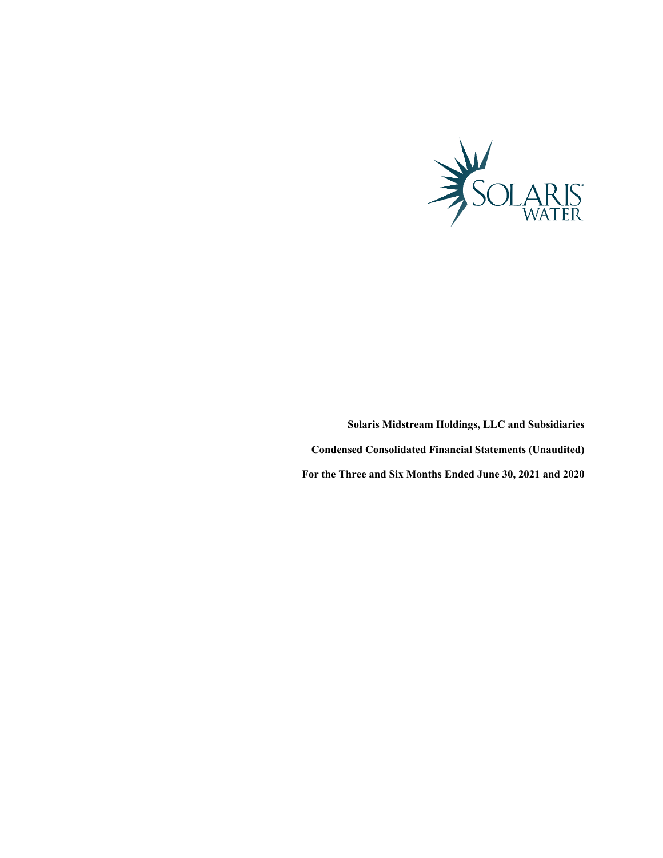

**Solaris Midstream Holdings, LLC and Subsidiaries Condensed Consolidated Financial Statements (Unaudited) For the Three and Six Months Ended June 30, 2021 and 2020**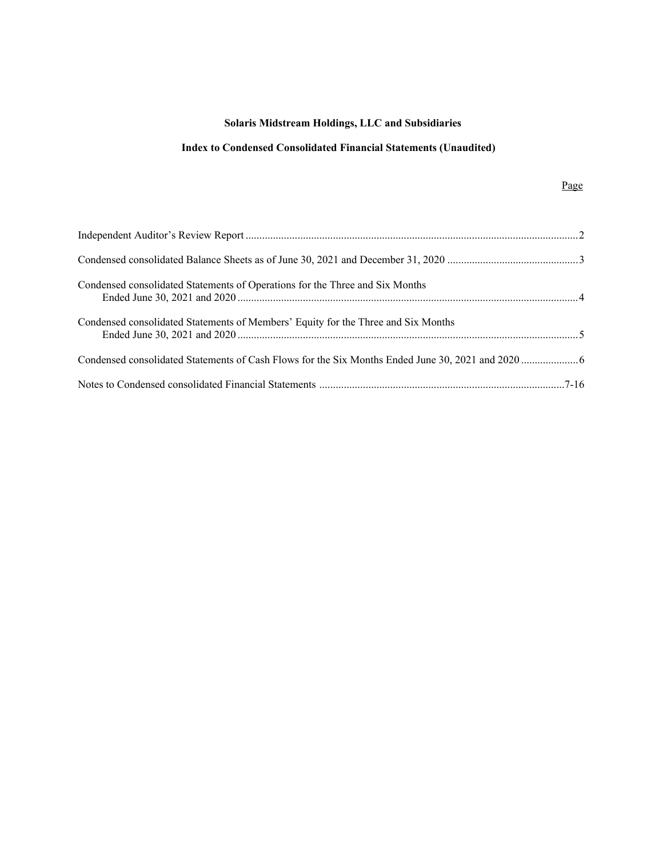# **Solaris Midstream Holdings, LLC and Subsidiaries**

# **Index to Condensed Consolidated Financial Statements (Unaudited)**

# Page

| Condensed consolidated Statements of Operations for the Three and Six Months      |  |
|-----------------------------------------------------------------------------------|--|
| Condensed consolidated Statements of Members' Equity for the Three and Six Months |  |
|                                                                                   |  |
|                                                                                   |  |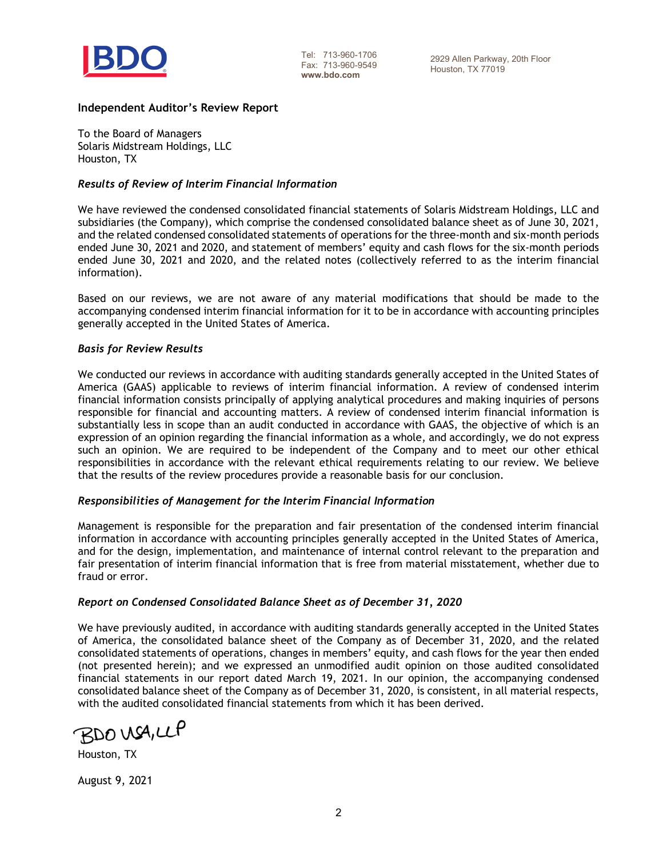

Tel: 713-960-1706 Fax: 713-960-9549 **www.bdo.com** 

2929 Allen Parkway, 20th Floor Houston, TX 77019

## **Independent Auditor's Review Report**

To the Board of Managers Solaris Midstream Holdings, LLC Houston, TX

## *Results of Review of Interim Financial Information*

We have reviewed the condensed consolidated financial statements of Solaris Midstream Holdings, LLC and subsidiaries (the Company), which comprise the condensed consolidated balance sheet as of June 30, 2021, and the related condensed consolidated statements of operations for the three-month and six-month periods ended June 30, 2021 and 2020, and statement of members' equity and cash flows for the six-month periods ended June 30, 2021 and 2020, and the related notes (collectively referred to as the interim financial information).

Based on our reviews, we are not aware of any material modifications that should be made to the accompanying condensed interim financial information for it to be in accordance with accounting principles generally accepted in the United States of America.

## *Basis for Review Results*

We conducted our reviews in accordance with auditing standards generally accepted in the United States of America (GAAS) applicable to reviews of interim financial information. A review of condensed interim financial information consists principally of applying analytical procedures and making inquiries of persons responsible for financial and accounting matters. A review of condensed interim financial information is substantially less in scope than an audit conducted in accordance with GAAS, the objective of which is an expression of an opinion regarding the financial information as a whole, and accordingly, we do not express such an opinion. We are required to be independent of the Company and to meet our other ethical responsibilities in accordance with the relevant ethical requirements relating to our review. We believe that the results of the review procedures provide a reasonable basis for our conclusion.

## *Responsibilities of Management for the Interim Financial Information*

Management is responsible for the preparation and fair presentation of the condensed interim financial information in accordance with accounting principles generally accepted in the United States of America, and for the design, implementation, and maintenance of internal control relevant to the preparation and fair presentation of interim financial information that is free from material misstatement, whether due to fraud or error.

## *Report on Condensed Consolidated Balance Sheet as of December 31, 2020*

We have previously audited, in accordance with auditing standards generally accepted in the United States of America, the consolidated balance sheet of the Company as of December 31, 2020, and the related consolidated statements of operations, changes in members' equity, and cash flows for the year then ended (not presented herein); and we expressed an unmodified audit opinion on those audited consolidated financial statements in our report dated March 19, 2021. In our opinion, the accompanying condensed consolidated balance sheet of the Company as of December 31, 2020, is consistent, in all material respects, with the audited consolidated financial statements from which it has been derived.

 $B$ DO VSA,  $LP$ 

Houston, TX

August 9, 2021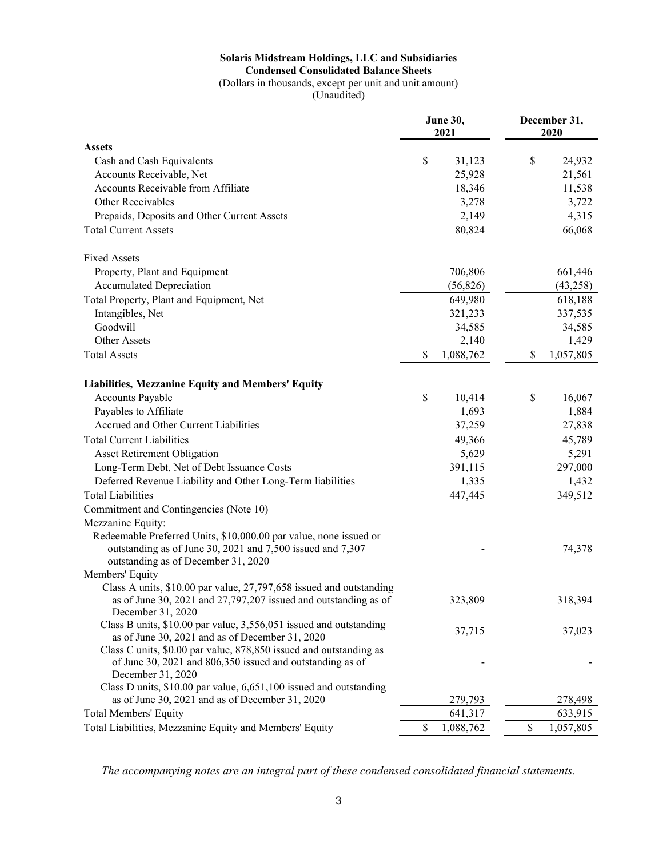## **Solaris Midstream Holdings, LLC and Subsidiaries Condensed Consolidated Balance Sheets**

(Dollars in thousands, except per unit and unit amount)

(Unaudited)

|                                                                                                                       | <b>June 30,</b><br>2021 | December 31,<br>2020 |
|-----------------------------------------------------------------------------------------------------------------------|-------------------------|----------------------|
| <b>Assets</b>                                                                                                         |                         |                      |
| Cash and Cash Equivalents                                                                                             | \$<br>31,123            | \$<br>24,932         |
| Accounts Receivable, Net                                                                                              | 25,928                  | 21,561               |
| Accounts Receivable from Affiliate                                                                                    | 18,346                  | 11,538               |
| Other Receivables                                                                                                     | 3,278                   | 3,722                |
| Prepaids, Deposits and Other Current Assets                                                                           | 2,149                   | 4,315                |
| <b>Total Current Assets</b>                                                                                           | 80,824                  | 66,068               |
| <b>Fixed Assets</b>                                                                                                   |                         |                      |
| Property, Plant and Equipment                                                                                         | 706,806                 | 661,446              |
| <b>Accumulated Depreciation</b>                                                                                       | (56, 826)               | (43,258)             |
| Total Property, Plant and Equipment, Net                                                                              | 649,980                 | 618,188              |
| Intangibles, Net                                                                                                      | 321,233                 | 337,535              |
| Goodwill                                                                                                              | 34,585                  | 34,585               |
| Other Assets                                                                                                          | 2,140                   | 1,429                |
| <b>Total Assets</b>                                                                                                   | \$<br>1,088,762         | \$<br>1,057,805      |
| Liabilities, Mezzanine Equity and Members' Equity                                                                     |                         |                      |
| Accounts Payable                                                                                                      | \$<br>10,414            | \$<br>16,067         |
| Payables to Affiliate                                                                                                 | 1,693                   | 1,884                |
| Accrued and Other Current Liabilities                                                                                 | 37,259                  | 27,838               |
| <b>Total Current Liabilities</b>                                                                                      | 49,366                  | 45,789               |
| <b>Asset Retirement Obligation</b>                                                                                    | 5,629                   | 5,291                |
| Long-Term Debt, Net of Debt Issuance Costs                                                                            | 391,115                 | 297,000              |
| Deferred Revenue Liability and Other Long-Term liabilities                                                            | 1,335                   | 1,432                |
| <b>Total Liabilities</b>                                                                                              | 447,445                 | 349,512              |
| Commitment and Contingencies (Note 10)                                                                                |                         |                      |
| Mezzanine Equity:                                                                                                     |                         |                      |
| Redeemable Preferred Units, \$10,000.00 par value, none issued or                                                     |                         |                      |
| outstanding as of June 30, 2021 and 7,500 issued and 7,307                                                            |                         | 74,378               |
| outstanding as of December 31, 2020                                                                                   |                         |                      |
| Members' Equity                                                                                                       |                         |                      |
| Class A units, \$10.00 par value, 27,797,658 issued and outstanding                                                   |                         |                      |
| as of June 30, 2021 and 27,797,207 issued and outstanding as of                                                       | 323,809                 | 318,394              |
| December 31, 2020                                                                                                     |                         |                      |
| Class B units, \$10.00 par value, 3,556,051 issued and outstanding                                                    | 37,715                  | 37,023               |
| as of June 30, 2021 and as of December 31, 2020                                                                       |                         |                      |
| Class C units, \$0.00 par value, 878,850 issued and outstanding as                                                    |                         |                      |
| of June 30, 2021 and 806,350 issued and outstanding as of                                                             |                         |                      |
| December 31, 2020                                                                                                     |                         |                      |
| Class D units, \$10.00 par value, 6,651,100 issued and outstanding<br>as of June 30, 2021 and as of December 31, 2020 | 279,793                 |                      |
| <b>Total Members' Equity</b>                                                                                          | 641,317                 | 278,498<br>633,915   |
|                                                                                                                       |                         |                      |
| Total Liabilities, Mezzanine Equity and Members' Equity                                                               | \$<br>1,088,762         | \$<br>1,057,805      |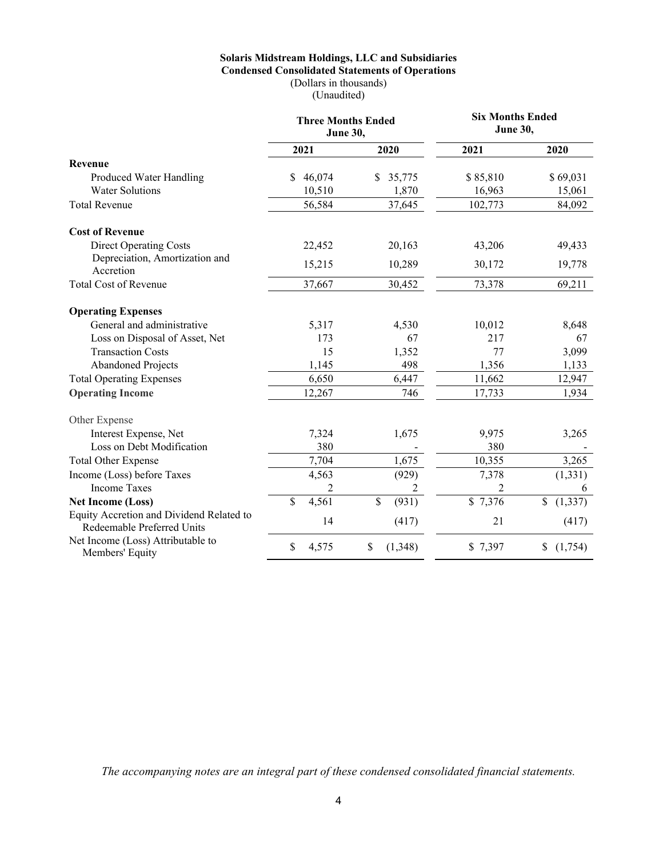## **Solaris Midstream Holdings, LLC and Subsidiaries Condensed Consolidated Statements of Operations**  (Dollars in thousands) (Unaudited)

|                                                                        | <b>Three Months Ended</b><br><b>June 30,</b> |               | <b>Six Months Ended</b><br><b>June 30,</b> |                |
|------------------------------------------------------------------------|----------------------------------------------|---------------|--------------------------------------------|----------------|
|                                                                        | 2021                                         | 2020          | 2021                                       | 2020           |
| Revenue                                                                |                                              |               |                                            |                |
| Produced Water Handling                                                | \$<br>46,074                                 | \$<br>35,775  | \$85,810                                   | \$69,031       |
| <b>Water Solutions</b>                                                 | 10,510                                       | 1,870         | 16,963                                     | 15,061         |
| <b>Total Revenue</b>                                                   | 56,584                                       | 37,645        | 102,773                                    | 84,092         |
| <b>Cost of Revenue</b>                                                 |                                              |               |                                            |                |
| <b>Direct Operating Costs</b>                                          | 22,452                                       | 20,163        | 43,206                                     | 49,433         |
| Depreciation, Amortization and<br>Accretion                            | 15,215                                       | 10,289        | 30,172                                     | 19,778         |
| <b>Total Cost of Revenue</b>                                           | 37,667                                       | 30,452        | 73,378                                     | 69,211         |
| <b>Operating Expenses</b>                                              |                                              |               |                                            |                |
| General and administrative                                             | 5,317                                        | 4,530         | 10,012                                     | 8,648          |
| Loss on Disposal of Asset, Net                                         | 173                                          | 67            | 217                                        | 67             |
| <b>Transaction Costs</b>                                               | 15                                           | 1,352         | 77                                         | 3,099          |
| <b>Abandoned Projects</b>                                              | 1,145                                        | 498           | 1,356                                      | 1,133          |
| <b>Total Operating Expenses</b>                                        | 6,650                                        | 6,447         | 11,662                                     | 12,947         |
| <b>Operating Income</b>                                                | 12,267                                       | 746           | 17,733                                     | 1,934          |
| Other Expense                                                          |                                              |               |                                            |                |
| Interest Expense, Net                                                  | 7,324                                        | 1,675         | 9,975                                      | 3,265          |
| Loss on Debt Modification                                              | 380                                          |               | 380                                        |                |
| <b>Total Other Expense</b>                                             | 7,704                                        | 1,675         | 10,355                                     | 3,265          |
| Income (Loss) before Taxes                                             | 4,563                                        | (929)         | 7,378                                      | (1, 331)       |
| <b>Income Taxes</b>                                                    | 2                                            | 2             | 2                                          | 6              |
| <b>Net Income (Loss)</b>                                               | \$<br>4,561                                  | \$<br>(931)   | \$7,376                                    | \$<br>(1, 337) |
| Equity Accretion and Dividend Related to<br>Redeemable Preferred Units | 14                                           | (417)         | 21                                         | (417)          |
| Net Income (Loss) Attributable to<br>Members' Equity                   | \$<br>4,575                                  | \$<br>(1,348) | \$7,397                                    | \$<br>(1,754)  |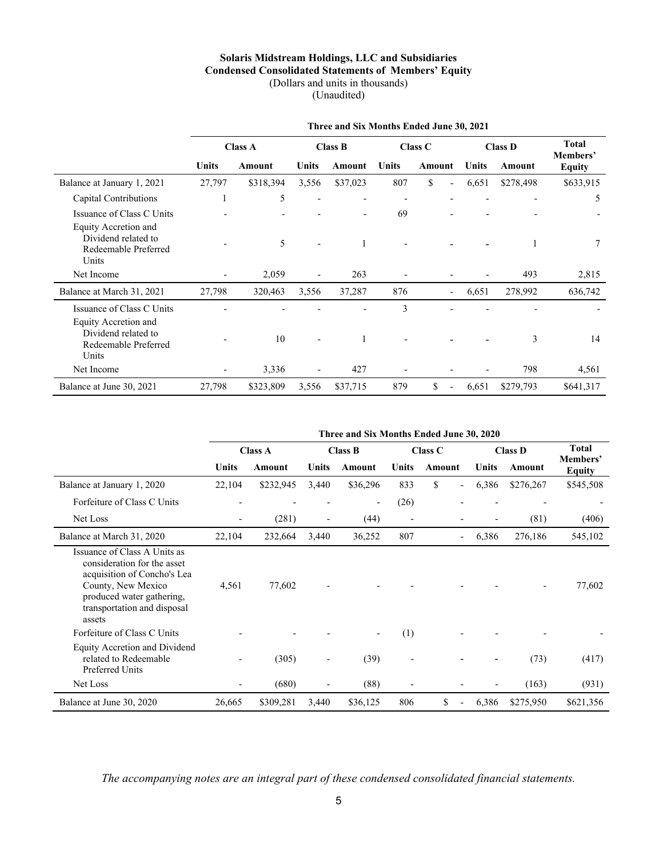# **Solaris Midstream Holdings, LLC and Subsidiaries Condensed Consolidated Statements of Members' Equity**  (Dollars and units in thousands)

|                                                                              |        | <b>Class A</b> |       | <b>Class B</b>           |                          | Class C |       | <b>Class D</b>           | <b>Total</b><br>Members' |
|------------------------------------------------------------------------------|--------|----------------|-------|--------------------------|--------------------------|---------|-------|--------------------------|--------------------------|
|                                                                              | Units  | Amount         | Units | Amount                   | Units                    | Amount  | Units | Amount                   | Equity                   |
| Balance at January 1, 2021                                                   | 27,797 | \$318,394      | 3,556 | \$37,023                 | 807                      | \$      | 6,651 | \$278,498                | \$633,915                |
| Capital Contributions                                                        |        | 5              |       | $\overline{\phantom{a}}$ | $\overline{\phantom{a}}$ |         |       | $\overline{\phantom{a}}$ | 5                        |
| Issuance of Class C Units                                                    |        |                |       |                          | 69                       |         |       |                          |                          |
| Equity Accretion and<br>Dividend related to<br>Redeemable Preferred<br>Units |        | 5              |       |                          |                          |         |       |                          |                          |
| Net Income                                                                   |        | 2,059          |       | 263                      |                          |         |       | 493                      | 2,815                    |
| Balance at March 31, 2021                                                    | 27,798 | 320,463        | 3,556 | 37,287                   | 876                      |         | 6,651 | 278,992                  | 636,742                  |
| Issuance of Class C Units<br>Equity Accretion and                            |        |                |       |                          | 3                        |         |       |                          |                          |
| Dividend related to<br>Redeemable Preferred<br>Units                         |        | 10             |       |                          |                          |         |       | 3                        | 14                       |
| Net Income                                                                   |        | 3,336          |       | 427                      |                          |         |       | 798                      | 4,561                    |
| Balance at June 30, 2021                                                     | 27,798 | \$323,809      | 3,556 | \$37,715                 | 879                      | \$      | 6,651 | \$279,793                | \$641,317                |

## **Three and Six Months Ended June 30, 2021**

|                                                                                                                                                                                        | Three and Six Months Ended June 30, 2020 |                |                          |          |                          |                                |                          |              |                           |
|----------------------------------------------------------------------------------------------------------------------------------------------------------------------------------------|------------------------------------------|----------------|--------------------------|----------|--------------------------|--------------------------------|--------------------------|--------------|---------------------------|
|                                                                                                                                                                                        |                                          | <b>Class A</b> |                          | Class B  |                          | Class C<br><b>Class D</b>      |                          | <b>Total</b> |                           |
|                                                                                                                                                                                        | <b>Units</b>                             | <b>Amount</b>  | <b>Units</b>             | Amount   | Units                    | Amount                         | <b>Units</b>             | Amount       | Members'<br><b>Equity</b> |
| Balance at January 1, 2020                                                                                                                                                             | 22,104                                   | \$232,945      | 3,440                    | \$36,296 | 833                      | \$<br>$\overline{\phantom{0}}$ | 6,386                    | \$276,267    | \$545,508                 |
| Forfeiture of Class C Units                                                                                                                                                            |                                          |                |                          |          | (26)                     |                                |                          |              |                           |
| Net Loss                                                                                                                                                                               | $\overline{a}$                           | (281)          | $\overline{\phantom{a}}$ | (44)     | $\overline{\phantom{a}}$ |                                | $\overline{\phantom{a}}$ | (81)         | (406)                     |
| Balance at March 31, 2020                                                                                                                                                              | 22,104                                   | 232,664        | 3,440                    | 36,252   | 807                      |                                | 6,386                    | 276,186      | 545,102                   |
| Issuance of Class A Units as<br>consideration for the asset<br>acquisition of Concho's Lea<br>County, New Mexico<br>produced water gathering,<br>transportation and disposal<br>assets | 4,561                                    | 77,602         |                          |          |                          |                                |                          |              | 77,602                    |
| Forfeiture of Class C Units                                                                                                                                                            |                                          |                |                          |          | (1)                      |                                |                          |              |                           |
| Equity Accretion and Dividend<br>related to Redeemable<br>Preferred Units                                                                                                              |                                          | (305)          |                          | (39)     |                          |                                |                          | (73)         | (417)                     |
| Net Loss                                                                                                                                                                               |                                          | (680)          | $\overline{\phantom{a}}$ | (88)     |                          |                                |                          | (163)        | (931)                     |
| Balance at June 30, 2020                                                                                                                                                               | 26,665                                   | \$309,281      | 3,440                    | \$36,125 | 806                      | \$<br>$\overline{\phantom{a}}$ | 6,386                    | \$275,950    | \$621,356                 |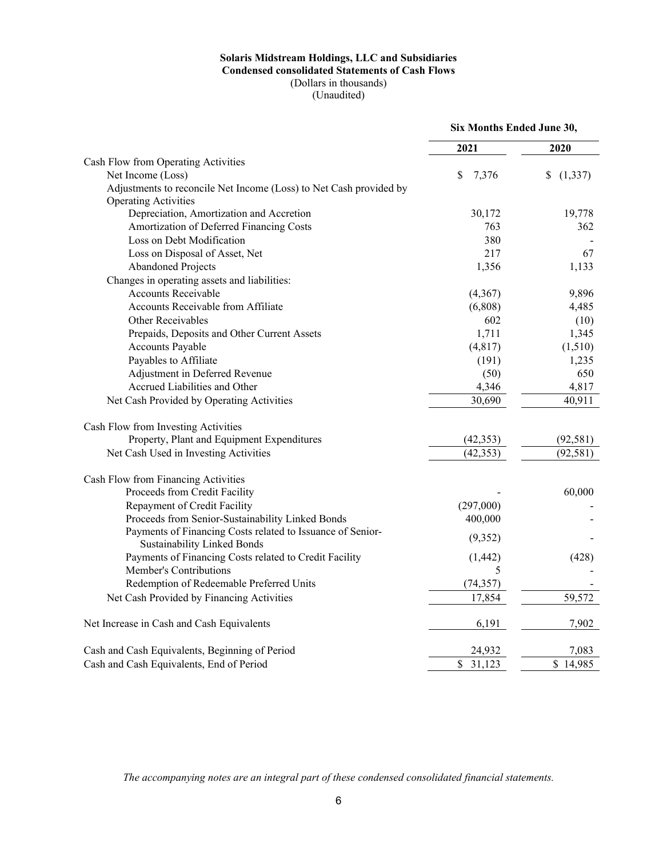## **Solaris Midstream Holdings, LLC and Subsidiaries Condensed consolidated Statements of Cash Flows**  (Dollars in thousands)

(Unaudited)

|                                                                                           | Six Months Ended June 30, |                |  |
|-------------------------------------------------------------------------------------------|---------------------------|----------------|--|
|                                                                                           | 2021                      | 2020           |  |
| Cash Flow from Operating Activities                                                       |                           |                |  |
| Net Income (Loss)                                                                         | \$<br>7,376               | \$<br>(1, 337) |  |
| Adjustments to reconcile Net Income (Loss) to Net Cash provided by                        |                           |                |  |
| <b>Operating Activities</b>                                                               |                           |                |  |
| Depreciation, Amortization and Accretion                                                  | 30,172                    | 19,778         |  |
| Amortization of Deferred Financing Costs                                                  | 763                       | 362            |  |
| Loss on Debt Modification                                                                 | 380                       |                |  |
| Loss on Disposal of Asset, Net                                                            | 217                       | 67             |  |
| <b>Abandoned Projects</b>                                                                 | 1,356                     | 1,133          |  |
| Changes in operating assets and liabilities:                                              |                           |                |  |
| Accounts Receivable                                                                       | (4,367)                   | 9,896          |  |
| Accounts Receivable from Affiliate                                                        | (6,808)                   | 4,485          |  |
| Other Receivables                                                                         | 602                       | (10)           |  |
| Prepaids, Deposits and Other Current Assets                                               | 1,711                     | 1,345          |  |
| Accounts Payable                                                                          | (4, 817)                  | (1,510)        |  |
| Payables to Affiliate                                                                     | (191)                     | 1,235          |  |
| Adjustment in Deferred Revenue                                                            | (50)                      | 650            |  |
| Accrued Liabilities and Other                                                             | 4,346                     | 4,817          |  |
| Net Cash Provided by Operating Activities                                                 | 30,690                    | 40,911         |  |
| Cash Flow from Investing Activities                                                       |                           |                |  |
| Property, Plant and Equipment Expenditures                                                | (42, 353)                 | (92, 581)      |  |
| Net Cash Used in Investing Activities                                                     | (42, 353)                 | (92, 581)      |  |
| Cash Flow from Financing Activities                                                       |                           |                |  |
| Proceeds from Credit Facility                                                             |                           | 60,000         |  |
| Repayment of Credit Facility                                                              | (297,000)                 |                |  |
| Proceeds from Senior-Sustainability Linked Bonds                                          | 400,000                   |                |  |
| Payments of Financing Costs related to Issuance of Senior-<br>Sustainability Linked Bonds | (9, 352)                  |                |  |
| Payments of Financing Costs related to Credit Facility                                    | (1, 442)                  | (428)          |  |
| Member's Contributions                                                                    | 5                         |                |  |
| Redemption of Redeemable Preferred Units                                                  | (74, 357)                 |                |  |
| Net Cash Provided by Financing Activities                                                 | 17,854                    | 59,572         |  |
| Net Increase in Cash and Cash Equivalents                                                 | 6,191                     | 7,902          |  |
|                                                                                           |                           |                |  |
| Cash and Cash Equivalents, Beginning of Period                                            | 24,932                    | 7,083          |  |
| Cash and Cash Equivalents, End of Period                                                  | \$<br>31,123              | \$14,985       |  |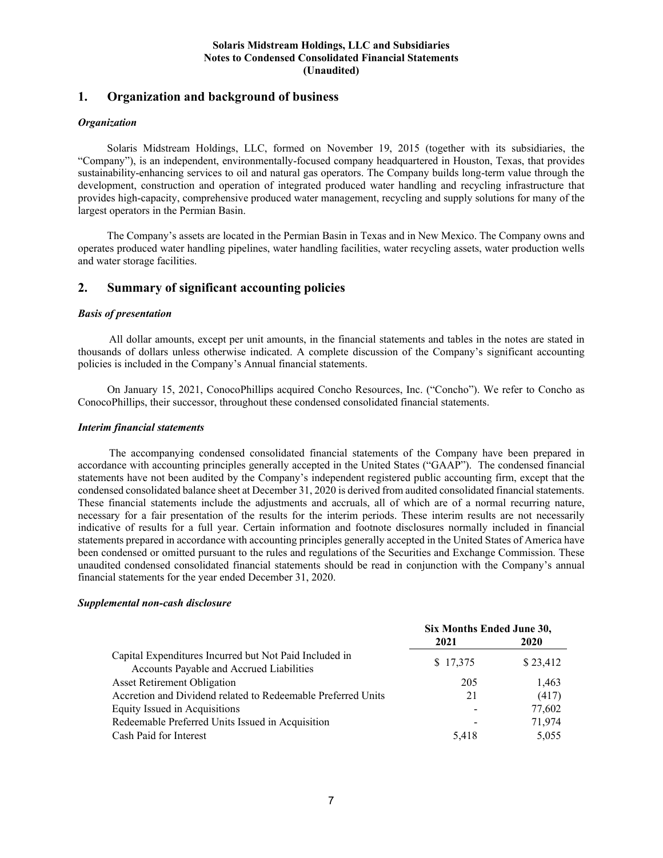## **1. Organization and background of business**

### *Organization*

Solaris Midstream Holdings, LLC, formed on November 19, 2015 (together with its subsidiaries, the "Company"), is an independent, environmentally-focused company headquartered in Houston, Texas, that provides sustainability-enhancing services to oil and natural gas operators. The Company builds long-term value through the development, construction and operation of integrated produced water handling and recycling infrastructure that provides high-capacity, comprehensive produced water management, recycling and supply solutions for many of the largest operators in the Permian Basin.

The Company's assets are located in the Permian Basin in Texas and in New Mexico. The Company owns and operates produced water handling pipelines, water handling facilities, water recycling assets, water production wells and water storage facilities.

## **2. Summary of significant accounting policies**

#### *Basis of presentation*

All dollar amounts, except per unit amounts, in the financial statements and tables in the notes are stated in thousands of dollars unless otherwise indicated. A complete discussion of the Company's significant accounting policies is included in the Company's Annual financial statements.

On January 15, 2021, ConocoPhillips acquired Concho Resources, Inc. ("Concho"). We refer to Concho as ConocoPhillips, their successor, throughout these condensed consolidated financial statements.

#### *Interim financial statements*

The accompanying condensed consolidated financial statements of the Company have been prepared in accordance with accounting principles generally accepted in the United States ("GAAP"). The condensed financial statements have not been audited by the Company's independent registered public accounting firm, except that the condensed consolidated balance sheet at December 31, 2020 is derived from audited consolidated financial statements. These financial statements include the adjustments and accruals, all of which are of a normal recurring nature, necessary for a fair presentation of the results for the interim periods. These interim results are not necessarily indicative of results for a full year. Certain information and footnote disclosures normally included in financial statements prepared in accordance with accounting principles generally accepted in the United States of America have been condensed or omitted pursuant to the rules and regulations of the Securities and Exchange Commission. These unaudited condensed consolidated financial statements should be read in conjunction with the Company's annual financial statements for the year ended December 31, 2020.

#### *Supplemental non-cash disclosure*

|                                                                                                    | Six Months Ended June 30, |          |  |
|----------------------------------------------------------------------------------------------------|---------------------------|----------|--|
|                                                                                                    | 2021                      | 2020     |  |
| Capital Expenditures Incurred but Not Paid Included in<br>Accounts Payable and Accrued Liabilities | \$17,375                  | \$23,412 |  |
| <b>Asset Retirement Obligation</b>                                                                 | 205                       | 1,463    |  |
| Accretion and Dividend related to Redeemable Preferred Units                                       | 21                        | (417)    |  |
| Equity Issued in Acquisitions                                                                      |                           | 77,602   |  |
| Redeemable Preferred Units Issued in Acquisition                                                   |                           | 71,974   |  |
| Cash Paid for Interest                                                                             | 5.418                     | 5,055    |  |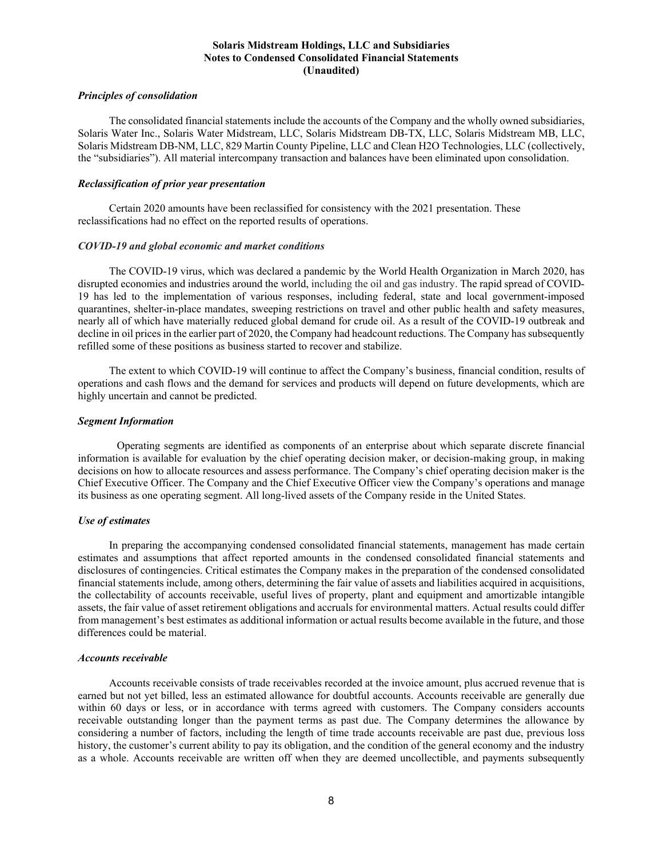## *Principles of consolidation*

The consolidated financial statements include the accounts of the Company and the wholly owned subsidiaries, Solaris Water Inc., Solaris Water Midstream, LLC, Solaris Midstream DB-TX, LLC, Solaris Midstream MB, LLC, Solaris Midstream DB-NM, LLC, 829 Martin County Pipeline, LLC and Clean H2O Technologies, LLC (collectively, the "subsidiaries"). All material intercompany transaction and balances have been eliminated upon consolidation.

#### *Reclassification of prior year presentation*

Certain 2020 amounts have been reclassified for consistency with the 2021 presentation. These reclassifications had no effect on the reported results of operations.

#### *COVID-19 and global economic and market conditions*

The COVID-19 virus, which was declared a pandemic by the World Health Organization in March 2020, has disrupted economies and industries around the world, including the oil and gas industry. The rapid spread of COVID-19 has led to the implementation of various responses, including federal, state and local government-imposed quarantines, shelter-in-place mandates, sweeping restrictions on travel and other public health and safety measures, nearly all of which have materially reduced global demand for crude oil. As a result of the COVID-19 outbreak and decline in oil prices in the earlier part of 2020, the Company had headcount reductions. The Company has subsequently refilled some of these positions as business started to recover and stabilize.

The extent to which COVID-19 will continue to affect the Company's business, financial condition, results of operations and cash flows and the demand for services and products will depend on future developments, which are highly uncertain and cannot be predicted.

#### *Segment Information*

Operating segments are identified as components of an enterprise about which separate discrete financial information is available for evaluation by the chief operating decision maker, or decision-making group, in making decisions on how to allocate resources and assess performance. The Company's chief operating decision maker is the Chief Executive Officer. The Company and the Chief Executive Officer view the Company's operations and manage its business as one operating segment. All long-lived assets of the Company reside in the United States.

#### *Use of estimates*

In preparing the accompanying condensed consolidated financial statements, management has made certain estimates and assumptions that affect reported amounts in the condensed consolidated financial statements and disclosures of contingencies. Critical estimates the Company makes in the preparation of the condensed consolidated financial statements include, among others, determining the fair value of assets and liabilities acquired in acquisitions, the collectability of accounts receivable, useful lives of property, plant and equipment and amortizable intangible assets, the fair value of asset retirement obligations and accruals for environmental matters. Actual results could differ from management's best estimates as additional information or actual results become available in the future, and those differences could be material.

#### *Accounts receivable*

Accounts receivable consists of trade receivables recorded at the invoice amount, plus accrued revenue that is earned but not yet billed, less an estimated allowance for doubtful accounts. Accounts receivable are generally due within 60 days or less, or in accordance with terms agreed with customers. The Company considers accounts receivable outstanding longer than the payment terms as past due. The Company determines the allowance by considering a number of factors, including the length of time trade accounts receivable are past due, previous loss history, the customer's current ability to pay its obligation, and the condition of the general economy and the industry as a whole. Accounts receivable are written off when they are deemed uncollectible, and payments subsequently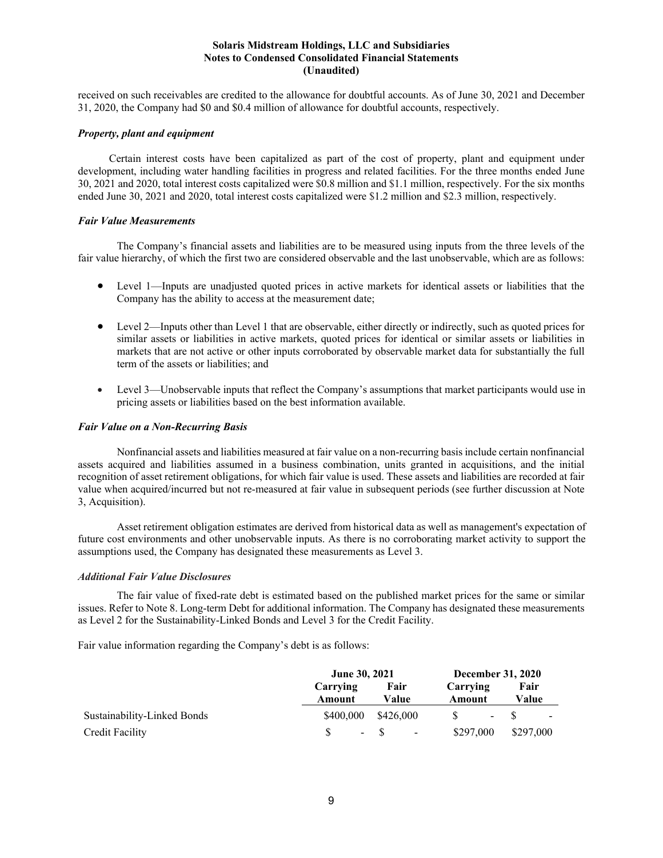received on such receivables are credited to the allowance for doubtful accounts. As of June 30, 2021 and December 31, 2020, the Company had \$0 and \$0.4 million of allowance for doubtful accounts, respectively.

### *Property, plant and equipment*

Certain interest costs have been capitalized as part of the cost of property, plant and equipment under development, including water handling facilities in progress and related facilities. For the three months ended June 30, 2021 and 2020, total interest costs capitalized were \$0.8 million and \$1.1 million, respectively. For the six months ended June 30, 2021 and 2020, total interest costs capitalized were \$1.2 million and \$2.3 million, respectively.

### *Fair Value Measurements*

The Company's financial assets and liabilities are to be measured using inputs from the three levels of the fair value hierarchy, of which the first two are considered observable and the last unobservable, which are as follows:

- Level 1—Inputs are unadjusted quoted prices in active markets for identical assets or liabilities that the Company has the ability to access at the measurement date;
- Level 2—Inputs other than Level 1 that are observable, either directly or indirectly, such as quoted prices for similar assets or liabilities in active markets, quoted prices for identical or similar assets or liabilities in markets that are not active or other inputs corroborated by observable market data for substantially the full term of the assets or liabilities; and
- Level 3—Unobservable inputs that reflect the Company's assumptions that market participants would use in pricing assets or liabilities based on the best information available.

#### *Fair Value on a Non-Recurring Basis*

Nonfinancial assets and liabilities measured at fair value on a non-recurring basis include certain nonfinancial assets acquired and liabilities assumed in a business combination, units granted in acquisitions, and the initial recognition of asset retirement obligations, for which fair value is used. These assets and liabilities are recorded at fair value when acquired/incurred but not re-measured at fair value in subsequent periods (see further discussion at Note 3, Acquisition).

Asset retirement obligation estimates are derived from historical data as well as management's expectation of future cost environments and other unobservable inputs. As there is no corroborating market activity to support the assumptions used, the Company has designated these measurements as Level 3.

#### *Additional Fair Value Disclosures*

The fair value of fixed-rate debt is estimated based on the published market prices for the same or similar issues. Refer to Note 8. Long-term Debt for additional information. The Company has designated these measurements as Level 2 for the Sustainability-Linked Bonds and Level 3 for the Credit Facility.

Fair value information regarding the Company's debt is as follows:

|                             | <b>June 30, 2021</b> |                                   | <b>December 31, 2020</b> |               |
|-----------------------------|----------------------|-----------------------------------|--------------------------|---------------|
|                             | Carrying<br>Amount   | Fair<br>Value                     | Carrying<br>Amount       | Fair<br>Value |
| Sustainability-Linked Bonds | \$400,000            | \$426,000                         | $\sim$                   | $\sim$ S      |
| Credit Facility             |                      | $-$ S<br>$\overline{\phantom{a}}$ | \$297,000                | \$297,000     |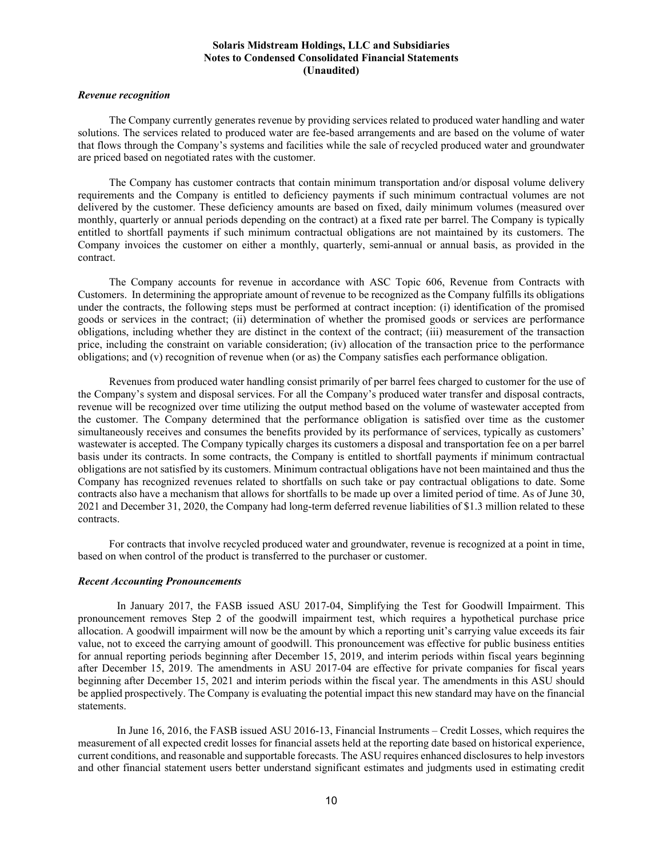### *Revenue recognition*

The Company currently generates revenue by providing services related to produced water handling and water solutions. The services related to produced water are fee-based arrangements and are based on the volume of water that flows through the Company's systems and facilities while the sale of recycled produced water and groundwater are priced based on negotiated rates with the customer.

The Company has customer contracts that contain minimum transportation and/or disposal volume delivery requirements and the Company is entitled to deficiency payments if such minimum contractual volumes are not delivered by the customer. These deficiency amounts are based on fixed, daily minimum volumes (measured over monthly, quarterly or annual periods depending on the contract) at a fixed rate per barrel. The Company is typically entitled to shortfall payments if such minimum contractual obligations are not maintained by its customers. The Company invoices the customer on either a monthly, quarterly, semi-annual or annual basis, as provided in the contract.

The Company accounts for revenue in accordance with ASC Topic 606, Revenue from Contracts with Customers. In determining the appropriate amount of revenue to be recognized as the Company fulfills its obligations under the contracts, the following steps must be performed at contract inception: (i) identification of the promised goods or services in the contract; (ii) determination of whether the promised goods or services are performance obligations, including whether they are distinct in the context of the contract; (iii) measurement of the transaction price, including the constraint on variable consideration; (iv) allocation of the transaction price to the performance obligations; and (v) recognition of revenue when (or as) the Company satisfies each performance obligation.

Revenues from produced water handling consist primarily of per barrel fees charged to customer for the use of the Company's system and disposal services. For all the Company's produced water transfer and disposal contracts, revenue will be recognized over time utilizing the output method based on the volume of wastewater accepted from the customer. The Company determined that the performance obligation is satisfied over time as the customer simultaneously receives and consumes the benefits provided by its performance of services, typically as customers' wastewater is accepted. The Company typically charges its customers a disposal and transportation fee on a per barrel basis under its contracts. In some contracts, the Company is entitled to shortfall payments if minimum contractual obligations are not satisfied by its customers. Minimum contractual obligations have not been maintained and thus the Company has recognized revenues related to shortfalls on such take or pay contractual obligations to date. Some contracts also have a mechanism that allows for shortfalls to be made up over a limited period of time. As of June 30, 2021 and December 31, 2020, the Company had long-term deferred revenue liabilities of \$1.3 million related to these contracts.

For contracts that involve recycled produced water and groundwater, revenue is recognized at a point in time, based on when control of the product is transferred to the purchaser or customer.

#### *Recent Accounting Pronouncements*

In January 2017, the FASB issued ASU 2017-04, Simplifying the Test for Goodwill Impairment. This pronouncement removes Step 2 of the goodwill impairment test, which requires a hypothetical purchase price allocation. A goodwill impairment will now be the amount by which a reporting unit's carrying value exceeds its fair value, not to exceed the carrying amount of goodwill. This pronouncement was effective for public business entities for annual reporting periods beginning after December 15, 2019, and interim periods within fiscal years beginning after December 15, 2019. The amendments in ASU 2017-04 are effective for private companies for fiscal years beginning after December 15, 2021 and interim periods within the fiscal year. The amendments in this ASU should be applied prospectively. The Company is evaluating the potential impact this new standard may have on the financial statements.

In June 16, 2016, the FASB issued ASU 2016-13, Financial Instruments – Credit Losses, which requires the measurement of all expected credit losses for financial assets held at the reporting date based on historical experience, current conditions, and reasonable and supportable forecasts. The ASU requires enhanced disclosures to help investors and other financial statement users better understand significant estimates and judgments used in estimating credit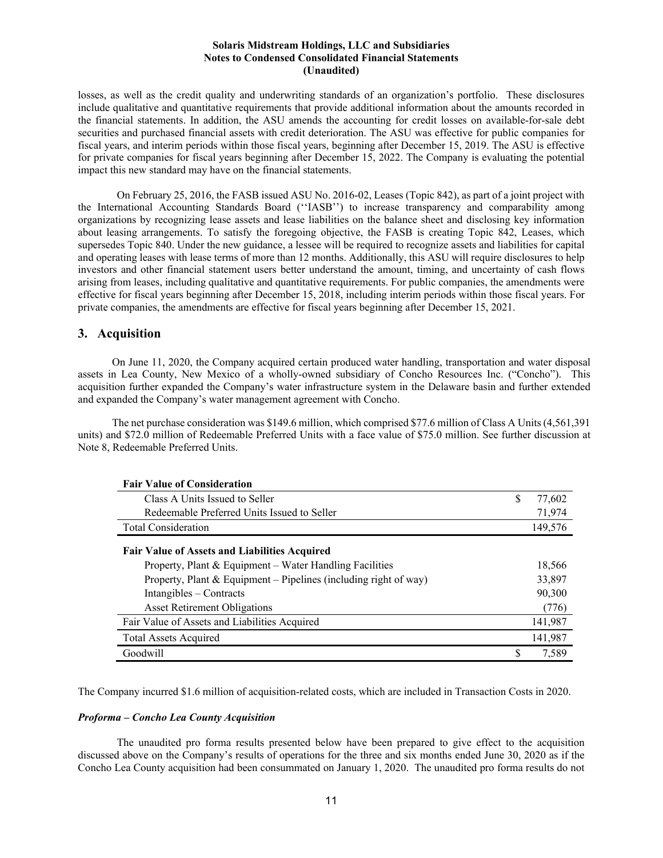losses, as well as the credit quality and underwriting standards of an organization's portfolio. These disclosures include qualitative and quantitative requirements that provide additional information about the amounts recorded in the financial statements. In addition, the ASU amends the accounting for credit losses on available-for-sale debt securities and purchased financial assets with credit deterioration. The ASU was effective for public companies for fiscal years, and interim periods within those fiscal years, beginning after December 15, 2019. The ASU is effective for private companies for fiscal years beginning after December 15, 2022. The Company is evaluating the potential impact this new standard may have on the financial statements.

On February 25, 2016, the FASB issued ASU No. 2016-02, Leases (Topic 842), as part of a joint project with the International Accounting Standards Board (''IASB'') to increase transparency and comparability among organizations by recognizing lease assets and lease liabilities on the balance sheet and disclosing key information about leasing arrangements. To satisfy the foregoing objective, the FASB is creating Topic 842, Leases, which supersedes Topic 840. Under the new guidance, a lessee will be required to recognize assets and liabilities for capital and operating leases with lease terms of more than 12 months. Additionally, this ASU will require disclosures to help investors and other financial statement users better understand the amount, timing, and uncertainty of cash flows arising from leases, including qualitative and quantitative requirements. For public companies, the amendments were effective for fiscal years beginning after December 15, 2018, including interim periods within those fiscal years. For private companies, the amendments are effective for fiscal years beginning after December 15, 2021.

## **3. Acquisition**

On June 11, 2020, the Company acquired certain produced water handling, transportation and water disposal assets in Lea County, New Mexico of a wholly-owned subsidiary of Concho Resources Inc. ("Concho"). This acquisition further expanded the Company's water infrastructure system in the Delaware basin and further extended and expanded the Company's water management agreement with Concho.

The net purchase consideration was \$149.6 million, which comprised \$77.6 million of Class A Units (4,561,391 units) and \$72.0 million of Redeemable Preferred Units with a face value of \$75.0 million. See further discussion at Note 8, Redeemable Preferred Units.

| <b>Fair Value of Consideration</b>                               |             |
|------------------------------------------------------------------|-------------|
| Class A Units Issued to Seller                                   | S<br>77,602 |
| Redeemable Preferred Units Issued to Seller                      | 71,974      |
| <b>Total Consideration</b>                                       | 149,576     |
| <b>Fair Value of Assets and Liabilities Acquired</b>             |             |
| Property, Plant & Equipment - Water Handling Facilities          | 18,566      |
| Property, Plant & Equipment – Pipelines (including right of way) | 33,897      |
| Intangibles – Contracts                                          | 90,300      |
| <b>Asset Retirement Obligations</b>                              | (776)       |
| Fair Value of Assets and Liabilities Acquired                    | 141,987     |
| <b>Total Assets Acquired</b>                                     | 141,987     |
| Goodwill                                                         | S<br>7.589  |

The Company incurred \$1.6 million of acquisition-related costs, which are included in Transaction Costs in 2020.

#### *Proforma – Concho Lea County Acquisition*

 The unaudited pro forma results presented below have been prepared to give effect to the acquisition discussed above on the Company's results of operations for the three and six months ended June 30, 2020 as if the Concho Lea County acquisition had been consummated on January 1, 2020. The unaudited pro forma results do not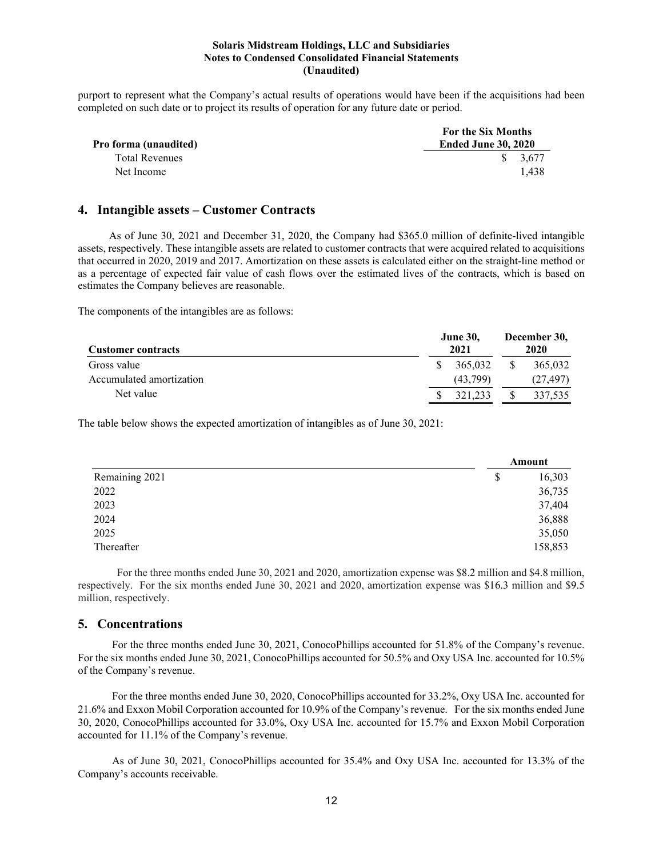purport to represent what the Company's actual results of operations would have been if the acquisitions had been completed on such date or to project its results of operation for any future date or period.

| <b>Pro forma (unaudited)</b> | <b>For the Six Months</b><br><b>Ended June 30, 2020</b> |
|------------------------------|---------------------------------------------------------|
| <b>Total Revenues</b>        | \$ 3.677                                                |
| Net Income                   | 1.438                                                   |

## **4. Intangible assets – Customer Contracts**

As of June 30, 2021 and December 31, 2020, the Company had \$365.0 million of definite-lived intangible assets, respectively. These intangible assets are related to customer contracts that were acquired related to acquisitions that occurred in 2020, 2019 and 2017. Amortization on these assets is calculated either on the straight-line method or as a percentage of expected fair value of cash flows over the estimated lives of the contracts, which is based on estimates the Company believes are reasonable.

The components of the intangibles are as follows:

| <b>Customer contracts</b> | <b>June 30,</b><br>2021 |    | December 30,<br>2020 |  |
|---------------------------|-------------------------|----|----------------------|--|
| Gross value               | 365,032<br>S.           | -S | 365,032              |  |
| Accumulated amortization  | (43,799)                |    | (27, 497)            |  |
| Net value                 | 321.233                 |    | 337.535              |  |

The table below shows the expected amortization of intangibles as of June 30, 2021:

|                | Amount       |
|----------------|--------------|
| Remaining 2021 | 16,303<br>\$ |
| 2022           | 36,735       |
| 2023           | 37,404       |
| 2024           | 36,888       |
| 2025           | 35,050       |
| Thereafter     | 158,853      |

For the three months ended June 30, 2021 and 2020, amortization expense was \$8.2 million and \$4.8 million, respectively. For the six months ended June 30, 2021 and 2020, amortization expense was \$16.3 million and \$9.5 million, respectively.

#### **5. Concentrations**

For the three months ended June 30, 2021, ConocoPhillips accounted for 51.8% of the Company's revenue. For the six months ended June 30, 2021, ConocoPhillips accounted for 50.5% and Oxy USA Inc. accounted for 10.5% of the Company's revenue.

For the three months ended June 30, 2020, ConocoPhillips accounted for 33.2%, Oxy USA Inc. accounted for 21.6% and Exxon Mobil Corporation accounted for 10.9% of the Company's revenue. For the six months ended June 30, 2020, ConocoPhillips accounted for 33.0%, Oxy USA Inc. accounted for 15.7% and Exxon Mobil Corporation accounted for 11.1% of the Company's revenue.

As of June 30, 2021, ConocoPhillips accounted for 35.4% and Oxy USA Inc. accounted for 13.3% of the Company's accounts receivable.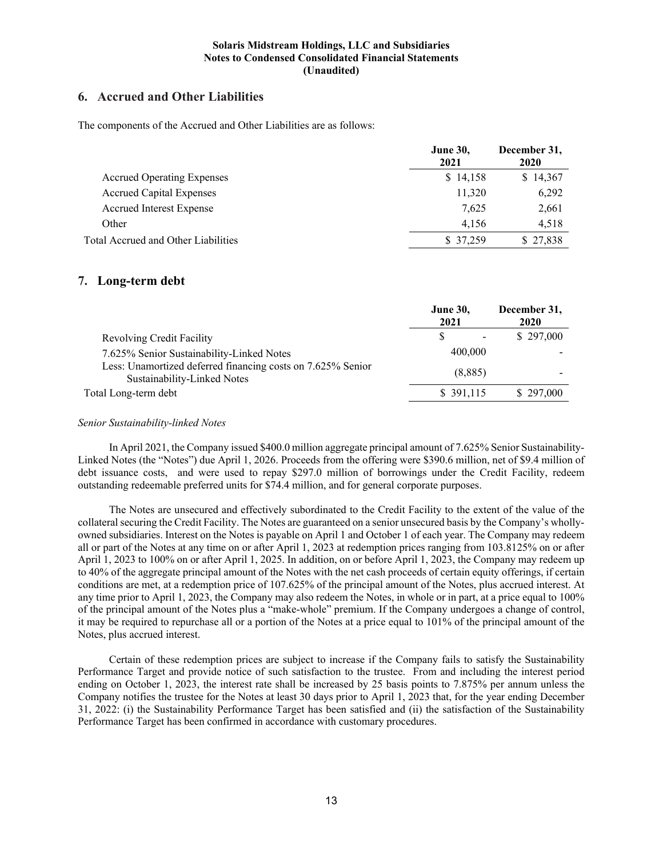# **6. Accrued and Other Liabilities**

The components of the Accrued and Other Liabilities are as follows:

|                                     | <b>June 30,</b><br>2021 | December 31,<br>2020 |
|-------------------------------------|-------------------------|----------------------|
| <b>Accrued Operating Expenses</b>   | \$14,158                | \$14,367             |
| <b>Accrued Capital Expenses</b>     | 11,320                  | 6,292                |
| <b>Accrued Interest Expense</b>     | 7,625                   | 2,661                |
| Other                               | 4.156                   | 4,518                |
| Total Accrued and Other Liabilities | \$37,259                | \$27,838             |

## **7. Long-term debt**

|                                                                                            | <b>June 30,</b><br>2021 | December 31,<br>2020 |
|--------------------------------------------------------------------------------------------|-------------------------|----------------------|
| Revolving Credit Facility                                                                  |                         | \$297,000            |
| 7.625% Senior Sustainability-Linked Notes                                                  | 400,000                 |                      |
| Less: Unamortized deferred financing costs on 7.625% Senior<br>Sustainability-Linked Notes | (8,885)                 |                      |
| Total Long-term debt                                                                       | \$391,115               | \$297,000            |

## *Senior Sustainability-linked Notes*

In April 2021, the Company issued \$400.0 million aggregate principal amount of 7.625% Senior Sustainability-Linked Notes (the "Notes") due April 1, 2026. Proceeds from the offering were \$390.6 million, net of \$9.4 million of debt issuance costs, and were used to repay \$297.0 million of borrowings under the Credit Facility, redeem outstanding redeemable preferred units for \$74.4 million, and for general corporate purposes.

The Notes are unsecured and effectively subordinated to the Credit Facility to the extent of the value of the collateral securing the Credit Facility. The Notes are guaranteed on a senior unsecured basis by the Company's whollyowned subsidiaries. Interest on the Notes is payable on April 1 and October 1 of each year. The Company may redeem all or part of the Notes at any time on or after April 1, 2023 at redemption prices ranging from 103.8125% on or after April 1, 2023 to 100% on or after April 1, 2025. In addition, on or before April 1, 2023, the Company may redeem up to 40% of the aggregate principal amount of the Notes with the net cash proceeds of certain equity offerings, if certain conditions are met, at a redemption price of 107.625% of the principal amount of the Notes, plus accrued interest. At any time prior to April 1, 2023, the Company may also redeem the Notes, in whole or in part, at a price equal to 100% of the principal amount of the Notes plus a "make-whole" premium. If the Company undergoes a change of control, it may be required to repurchase all or a portion of the Notes at a price equal to 101% of the principal amount of the Notes, plus accrued interest.

Certain of these redemption prices are subject to increase if the Company fails to satisfy the Sustainability Performance Target and provide notice of such satisfaction to the trustee. From and including the interest period ending on October 1, 2023, the interest rate shall be increased by 25 basis points to 7.875% per annum unless the Company notifies the trustee for the Notes at least 30 days prior to April 1, 2023 that, for the year ending December 31, 2022: (i) the Sustainability Performance Target has been satisfied and (ii) the satisfaction of the Sustainability Performance Target has been confirmed in accordance with customary procedures.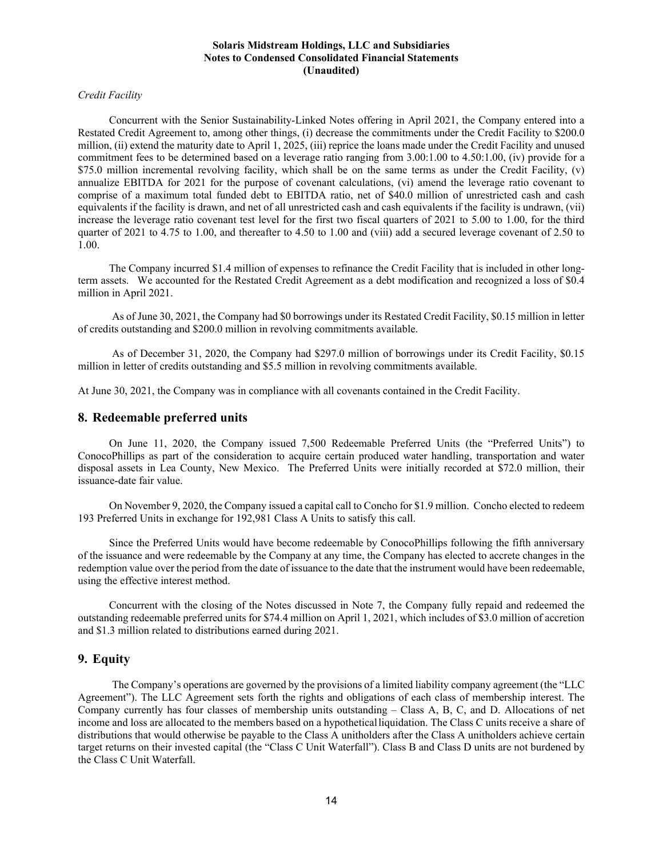## *Credit Facility*

Concurrent with the Senior Sustainability-Linked Notes offering in April 2021, the Company entered into a Restated Credit Agreement to, among other things, (i) decrease the commitments under the Credit Facility to \$200.0 million, (ii) extend the maturity date to April 1, 2025, (iii) reprice the loans made under the Credit Facility and unused commitment fees to be determined based on a leverage ratio ranging from 3.00:1.00 to 4.50:1.00, (iv) provide for a \$75.0 million incremental revolving facility, which shall be on the same terms as under the Credit Facility, (v) annualize EBITDA for 2021 for the purpose of covenant calculations, (vi) amend the leverage ratio covenant to comprise of a maximum total funded debt to EBITDA ratio, net of \$40.0 million of unrestricted cash and cash equivalents if the facility is drawn, and net of all unrestricted cash and cash equivalents if the facility is undrawn, (vii) increase the leverage ratio covenant test level for the first two fiscal quarters of 2021 to 5.00 to 1.00, for the third quarter of 2021 to 4.75 to 1.00, and thereafter to 4.50 to 1.00 and (viii) add a secured leverage covenant of 2.50 to 1.00.

The Company incurred \$1.4 million of expenses to refinance the Credit Facility that is included in other longterm assets. We accounted for the Restated Credit Agreement as a debt modification and recognized a loss of \$0.4 million in April 2021.

As of June 30, 2021, the Company had \$0 borrowings under its Restated Credit Facility, \$0.15 million in letter of credits outstanding and \$200.0 million in revolving commitments available.

As of December 31, 2020, the Company had \$297.0 million of borrowings under its Credit Facility, \$0.15 million in letter of credits outstanding and \$5.5 million in revolving commitments available.

At June 30, 2021, the Company was in compliance with all covenants contained in the Credit Facility.

## **8. Redeemable preferred units**

On June 11, 2020, the Company issued 7,500 Redeemable Preferred Units (the "Preferred Units") to ConocoPhillips as part of the consideration to acquire certain produced water handling, transportation and water disposal assets in Lea County, New Mexico. The Preferred Units were initially recorded at \$72.0 million, their issuance-date fair value.

On November 9, 2020, the Company issued a capital call to Concho for \$1.9 million. Concho elected to redeem 193 Preferred Units in exchange for 192,981 Class A Units to satisfy this call.

Since the Preferred Units would have become redeemable by ConocoPhillips following the fifth anniversary of the issuance and were redeemable by the Company at any time, the Company has elected to accrete changes in the redemption value over the period from the date of issuance to the date that the instrument would have been redeemable, using the effective interest method.

Concurrent with the closing of the Notes discussed in Note 7, the Company fully repaid and redeemed the outstanding redeemable preferred units for \$74.4 million on April 1, 2021, which includes of \$3.0 million of accretion and \$1.3 million related to distributions earned during 2021.

## **9. Equity**

The Company's operations are governed by the provisions of a limited liability company agreement (the "LLC Agreement"). The LLC Agreement sets forth the rights and obligations of each class of membership interest. The Company currently has four classes of membership units outstanding – Class A, B, C, and D. Allocations of net income and loss are allocated to the members based on a hypothetical liquidation. The Class C units receive a share of distributions that would otherwise be payable to the Class A unitholders after the Class A unitholders achieve certain target returns on their invested capital (the "Class C Unit Waterfall"). Class B and Class D units are not burdened by the Class C Unit Waterfall.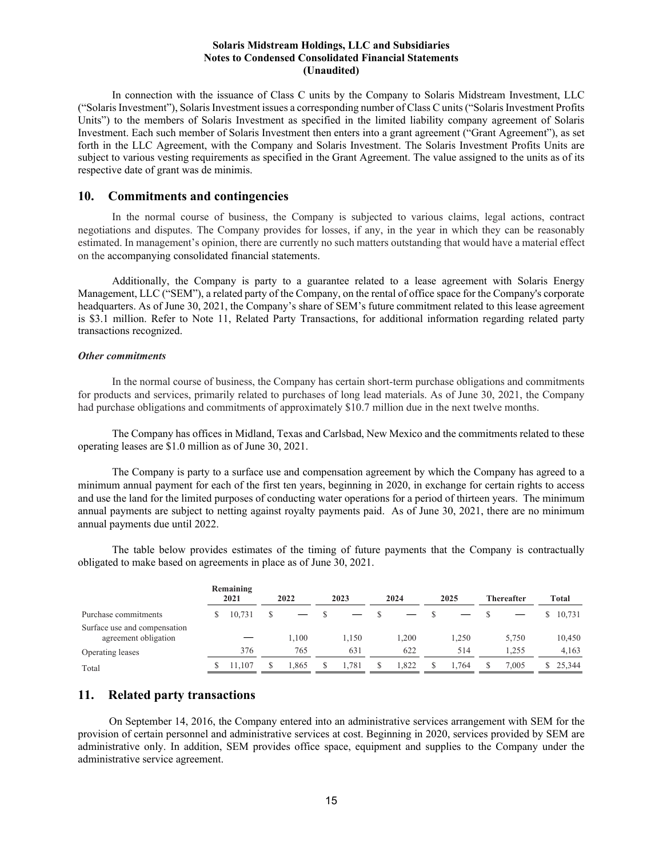In connection with the issuance of Class C units by the Company to Solaris Midstream Investment, LLC ("Solaris Investment"), Solaris Investment issues a corresponding number of Class C units ("Solaris Investment Profits Units") to the members of Solaris Investment as specified in the limited liability company agreement of Solaris Investment. Each such member of Solaris Investment then enters into a grant agreement ("Grant Agreement"), as set forth in the LLC Agreement, with the Company and Solaris Investment. The Solaris Investment Profits Units are subject to various vesting requirements as specified in the Grant Agreement. The value assigned to the units as of its respective date of grant was de minimis.

## **10. Commitments and contingencies**

In the normal course of business, the Company is subjected to various claims, legal actions, contract negotiations and disputes. The Company provides for losses, if any, in the year in which they can be reasonably estimated. In management's opinion, there are currently no such matters outstanding that would have a material effect on the accompanying consolidated financial statements.

Additionally, the Company is party to a guarantee related to a lease agreement with Solaris Energy Management, LLC ("SEM"), a related party of the Company, on the rental of office space for the Company's corporate headquarters. As of June 30, 2021, the Company's share of SEM's future commitment related to this lease agreement is \$3.1 million. Refer to Note 11, Related Party Transactions, for additional information regarding related party transactions recognized.

### *Other commitments*

In the normal course of business, the Company has certain short-term purchase obligations and commitments for products and services, primarily related to purchases of long lead materials. As of June 30, 2021, the Company had purchase obligations and commitments of approximately \$10.7 million due in the next twelve months.

The Company has offices in Midland, Texas and Carlsbad, New Mexico and the commitments related to these operating leases are \$1.0 million as of June 30, 2021.

The Company is party to a surface use and compensation agreement by which the Company has agreed to a minimum annual payment for each of the first ten years, beginning in 2020, in exchange for certain rights to access and use the land for the limited purposes of conducting water operations for a period of thirteen years. The minimum annual payments are subject to netting against royalty payments paid. As of June 30, 2021, there are no minimum annual payments due until 2022.

The table below provides estimates of the timing of future payments that the Company is contractually obligated to make based on agreements in place as of June 30, 2021.

|                                                      |    | Remaining<br>2021 | 2022  | 2023  | 2024  | 2025  | <b>Thereafter</b> |    | <b>Total</b> |
|------------------------------------------------------|----|-------------------|-------|-------|-------|-------|-------------------|----|--------------|
| Purchase commitments                                 | S. | 10.731            |       |       |       |       |                   |    | \$ 10.731    |
| Surface use and compensation<br>agreement obligation |    |                   | 1.100 | 1.150 | 1.200 | 1.250 | 5,750             |    | 10,450       |
| Operating leases                                     |    | 376               | 765   | 631   | 622   | 514   | 1.255             |    | 4,163        |
| Total                                                |    | 11.107            | 1.865 | 1.781 | 1.822 | 1.764 | 7.005             | S. | 25,344       |

## **11. Related party transactions**

On September 14, 2016, the Company entered into an administrative services arrangement with SEM for the provision of certain personnel and administrative services at cost. Beginning in 2020, services provided by SEM are administrative only. In addition, SEM provides office space, equipment and supplies to the Company under the administrative service agreement.